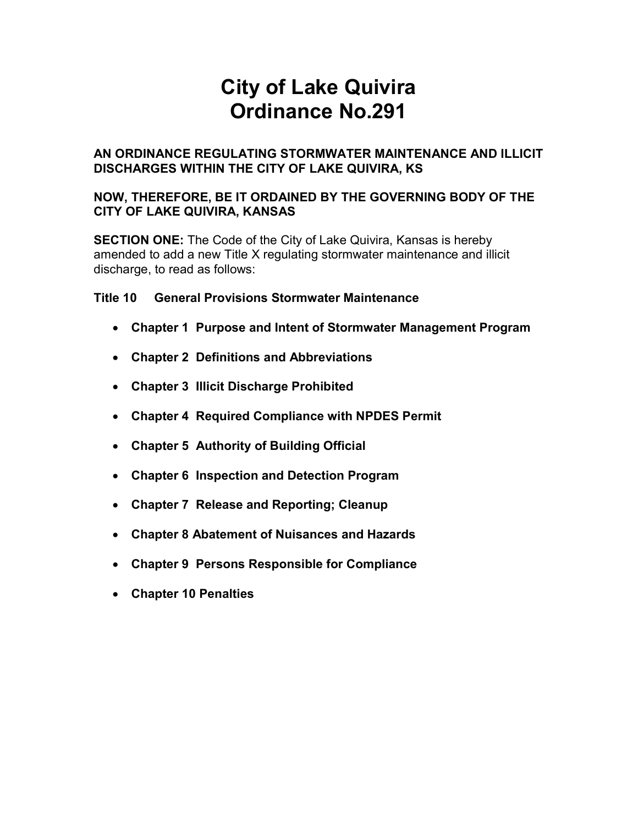# City of Lake Quivira Ordinance No.291

#### AN ORDINANCE REGULATING STORMWATER MAINTENANCE AND ILLICIT DISCHARGES WITHIN THE CITY OF LAKE QUIVIRA, KS

#### NOW, THEREFORE, BE IT ORDAINED BY THE GOVERNING BODY OF THE CITY OF LAKE QUIVIRA, KANSAS

**SECTION ONE:** The Code of the City of Lake Quivira, Kansas is hereby amended to add a new Title X regulating stormwater maintenance and illicit discharge, to read as follows:

Title 10 General Provisions Stormwater Maintenance

- Chapter 1 Purpose and Intent of Stormwater Management Program
- Chapter 2 Definitions and Abbreviations
- Chapter 3 Illicit Discharge Prohibited
- Chapter 4 Required Compliance with NPDES Permit
- Chapter 5 Authority of Building Official
- Chapter 6 Inspection and Detection Program
- Chapter 7 Release and Reporting; Cleanup
- Chapter 8 Abatement of Nuisances and Hazards
- Chapter 9 Persons Responsible for Compliance
- Chapter 10 Penalties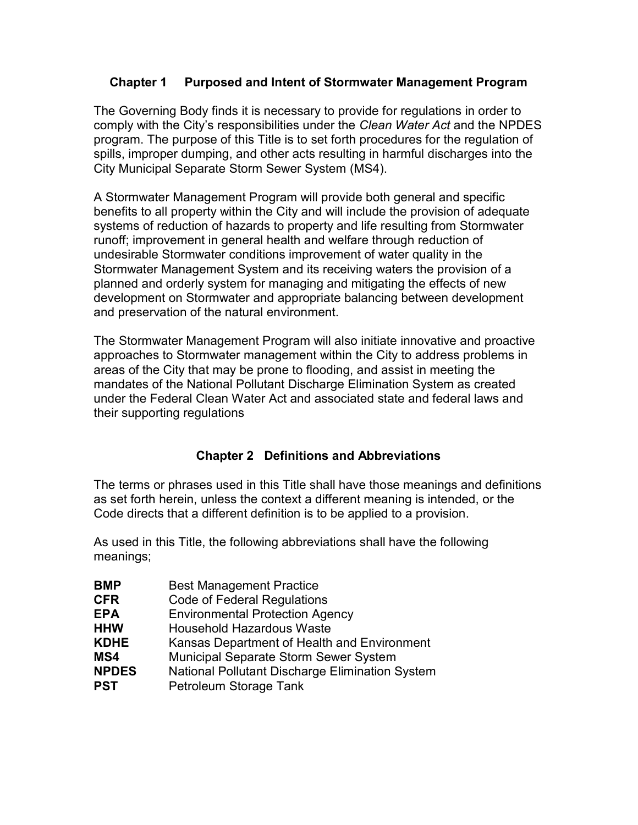#### Chapter 1 Purposed and Intent of Stormwater Management Program

The Governing Body finds it is necessary to provide for regulations in order to comply with the City's responsibilities under the Clean Water Act and the NPDES program. The purpose of this Title is to set forth procedures for the regulation of spills, improper dumping, and other acts resulting in harmful discharges into the City Municipal Separate Storm Sewer System (MS4).

A Stormwater Management Program will provide both general and specific benefits to all property within the City and will include the provision of adequate systems of reduction of hazards to property and life resulting from Stormwater runoff; improvement in general health and welfare through reduction of undesirable Stormwater conditions improvement of water quality in the Stormwater Management System and its receiving waters the provision of a planned and orderly system for managing and mitigating the effects of new development on Stormwater and appropriate balancing between development and preservation of the natural environment.

The Stormwater Management Program will also initiate innovative and proactive approaches to Stormwater management within the City to address problems in areas of the City that may be prone to flooding, and assist in meeting the mandates of the National Pollutant Discharge Elimination System as created under the Federal Clean Water Act and associated state and federal laws and their supporting regulations

## Chapter 2 Definitions and Abbreviations

The terms or phrases used in this Title shall have those meanings and definitions as set forth herein, unless the context a different meaning is intended, or the Code directs that a different definition is to be applied to a provision.

As used in this Title, the following abbreviations shall have the following meanings;

| <b>BMP</b>   | <b>Best Management Practice</b>                        |
|--------------|--------------------------------------------------------|
| <b>CFR</b>   | <b>Code of Federal Regulations</b>                     |
| <b>EPA</b>   | <b>Environmental Protection Agency</b>                 |
| <b>HHW</b>   | <b>Household Hazardous Waste</b>                       |
| <b>KDHE</b>  | Kansas Department of Health and Environment            |
| MS4          | Municipal Separate Storm Sewer System                  |
| <b>NPDES</b> | <b>National Pollutant Discharge Elimination System</b> |
| PST          | Petroleum Storage Tank                                 |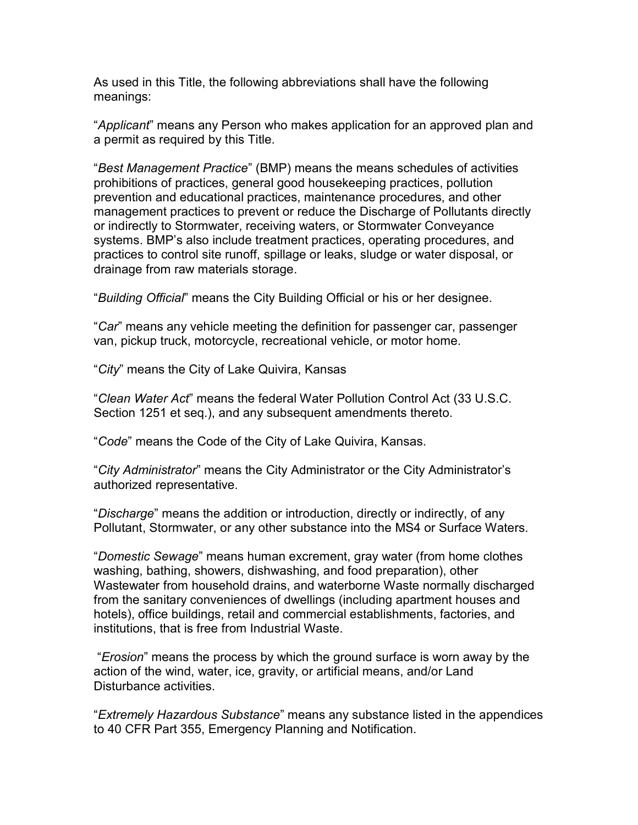As used in this Title, the following abbreviations shall have the following meanings:

"Applicant" means any Person who makes application for an approved plan and a permit as required by this Title.

"Best Management Practice" (BMP) means the means schedules of activities prohibitions of practices, general good housekeeping practices, pollution prevention and educational practices, maintenance procedures, and other management practices to prevent or reduce the Discharge of Pollutants directly or indirectly to Stormwater, receiving waters, or Stormwater Conveyance systems. BMP's also include treatment practices, operating procedures, and practices to control site runoff, spillage or leaks, sludge or water disposal, or drainage from raw materials storage.

"Building Official" means the City Building Official or his or her designee.

"Car" means any vehicle meeting the definition for passenger car, passenger van, pickup truck, motorcycle, recreational vehicle, or motor home.

"City" means the City of Lake Quivira, Kansas

"Clean Water Act" means the federal Water Pollution Control Act (33 U.S.C. Section 1251 et seq.), and any subsequent amendments thereto.

"Code" means the Code of the City of Lake Quivira, Kansas.

"City Administrator" means the City Administrator or the City Administrator's authorized representative.

"Discharge" means the addition or introduction, directly or indirectly, of any Pollutant, Stormwater, or any other substance into the MS4 or Surface Waters.

"Domestic Sewage" means human excrement, gray water (from home clothes washing, bathing, showers, dishwashing, and food preparation), other Wastewater from household drains, and waterborne Waste normally discharged from the sanitary conveniences of dwellings (including apartment houses and hotels), office buildings, retail and commercial establishments, factories, and institutions, that is free from Industrial Waste.

 "Erosion" means the process by which the ground surface is worn away by the action of the wind, water, ice, gravity, or artificial means, and/or Land Disturbance activities.

"Extremely Hazardous Substance" means any substance listed in the appendices to 40 CFR Part 355, Emergency Planning and Notification.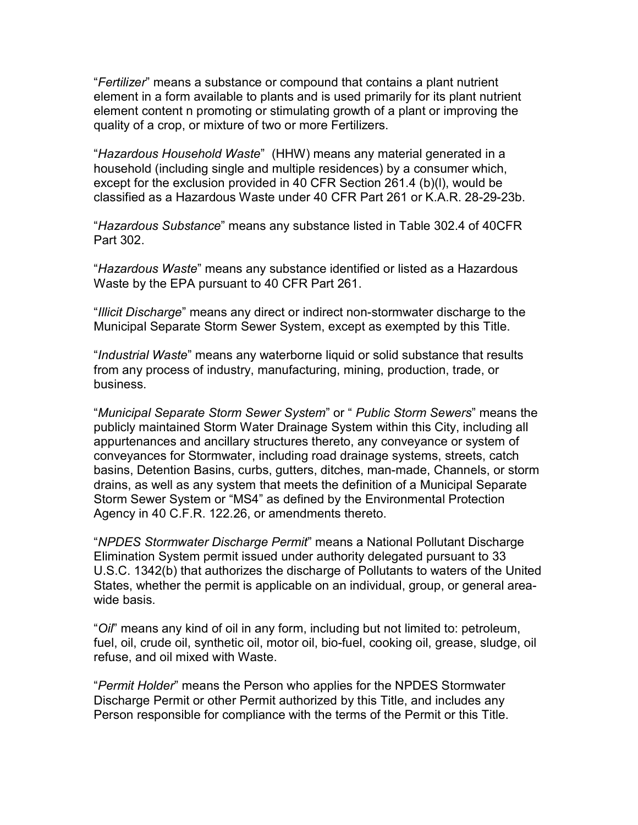"Fertilizer" means a substance or compound that contains a plant nutrient element in a form available to plants and is used primarily for its plant nutrient element content n promoting or stimulating growth of a plant or improving the quality of a crop, or mixture of two or more Fertilizers.

"Hazardous Household Waste" (HHW) means any material generated in a household (including single and multiple residences) by a consumer which, except for the exclusion provided in 40 CFR Section 261.4 (b)(l), would be classified as a Hazardous Waste under 40 CFR Part 261 or K.A.R. 28-29-23b.

"Hazardous Substance" means any substance listed in Table 302.4 of 40CFR Part 302.

"Hazardous Waste" means any substance identified or listed as a Hazardous Waste by the EPA pursuant to 40 CFR Part 261.

"Illicit Discharge" means any direct or indirect non-stormwater discharge to the Municipal Separate Storm Sewer System, except as exempted by this Title.

"Industrial Waste" means any waterborne liquid or solid substance that results from any process of industry, manufacturing, mining, production, trade, or business.

"Municipal Separate Storm Sewer System" or " Public Storm Sewers" means the publicly maintained Storm Water Drainage System within this City, including all appurtenances and ancillary structures thereto, any conveyance or system of conveyances for Stormwater, including road drainage systems, streets, catch basins, Detention Basins, curbs, gutters, ditches, man-made, Channels, or storm drains, as well as any system that meets the definition of a Municipal Separate Storm Sewer System or "MS4" as defined by the Environmental Protection Agency in 40 C.F.R. 122.26, or amendments thereto.

"NPDES Stormwater Discharge Permit" means a National Pollutant Discharge Elimination System permit issued under authority delegated pursuant to 33 U.S.C. 1342(b) that authorizes the discharge of Pollutants to waters of the United States, whether the permit is applicable on an individual, group, or general areawide basis.

"Oil" means any kind of oil in any form, including but not limited to: petroleum, fuel, oil, crude oil, synthetic oil, motor oil, bio-fuel, cooking oil, grease, sludge, oil refuse, and oil mixed with Waste.

"Permit Holder" means the Person who applies for the NPDES Stormwater Discharge Permit or other Permit authorized by this Title, and includes any Person responsible for compliance with the terms of the Permit or this Title.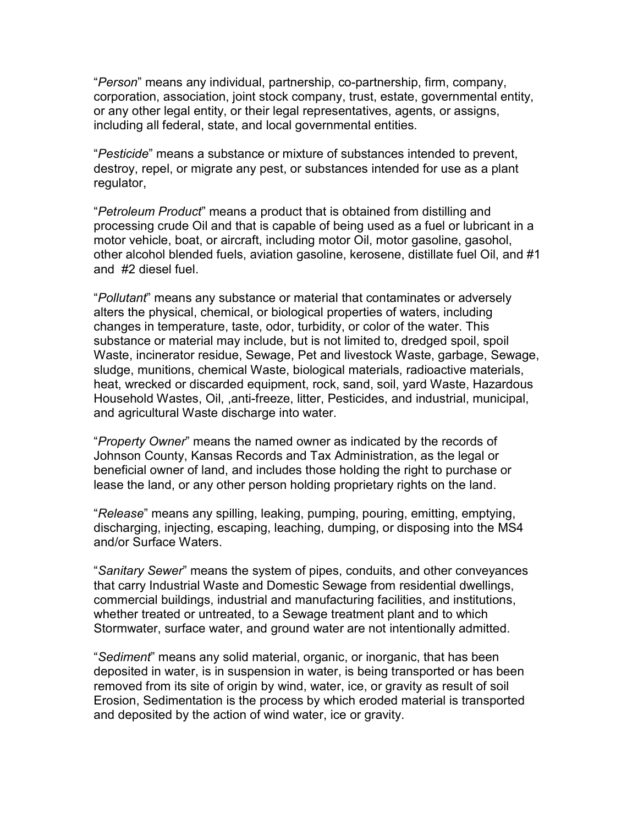"Person" means any individual, partnership, co-partnership, firm, company, corporation, association, joint stock company, trust, estate, governmental entity, or any other legal entity, or their legal representatives, agents, or assigns, including all federal, state, and local governmental entities.

"Pesticide" means a substance or mixture of substances intended to prevent, destroy, repel, or migrate any pest, or substances intended for use as a plant regulator,

"Petroleum Product" means a product that is obtained from distilling and processing crude Oil and that is capable of being used as a fuel or lubricant in a motor vehicle, boat, or aircraft, including motor Oil, motor gasoline, gasohol, other alcohol blended fuels, aviation gasoline, kerosene, distillate fuel Oil, and #1 and #2 diesel fuel.

"Pollutant" means any substance or material that contaminates or adversely alters the physical, chemical, or biological properties of waters, including changes in temperature, taste, odor, turbidity, or color of the water. This substance or material may include, but is not limited to, dredged spoil, spoil Waste, incinerator residue, Sewage, Pet and livestock Waste, garbage, Sewage, sludge, munitions, chemical Waste, biological materials, radioactive materials, heat, wrecked or discarded equipment, rock, sand, soil, yard Waste, Hazardous Household Wastes, Oil, ,anti-freeze, litter, Pesticides, and industrial, municipal, and agricultural Waste discharge into water.

"Property Owner" means the named owner as indicated by the records of Johnson County, Kansas Records and Tax Administration, as the legal or beneficial owner of land, and includes those holding the right to purchase or lease the land, or any other person holding proprietary rights on the land.

"Release" means any spilling, leaking, pumping, pouring, emitting, emptying, discharging, injecting, escaping, leaching, dumping, or disposing into the MS4 and/or Surface Waters.

"Sanitary Sewer" means the system of pipes, conduits, and other conveyances that carry Industrial Waste and Domestic Sewage from residential dwellings, commercial buildings, industrial and manufacturing facilities, and institutions, whether treated or untreated, to a Sewage treatment plant and to which Stormwater, surface water, and ground water are not intentionally admitted.

"Sediment" means any solid material, organic, or inorganic, that has been deposited in water, is in suspension in water, is being transported or has been removed from its site of origin by wind, water, ice, or gravity as result of soil Erosion, Sedimentation is the process by which eroded material is transported and deposited by the action of wind water, ice or gravity.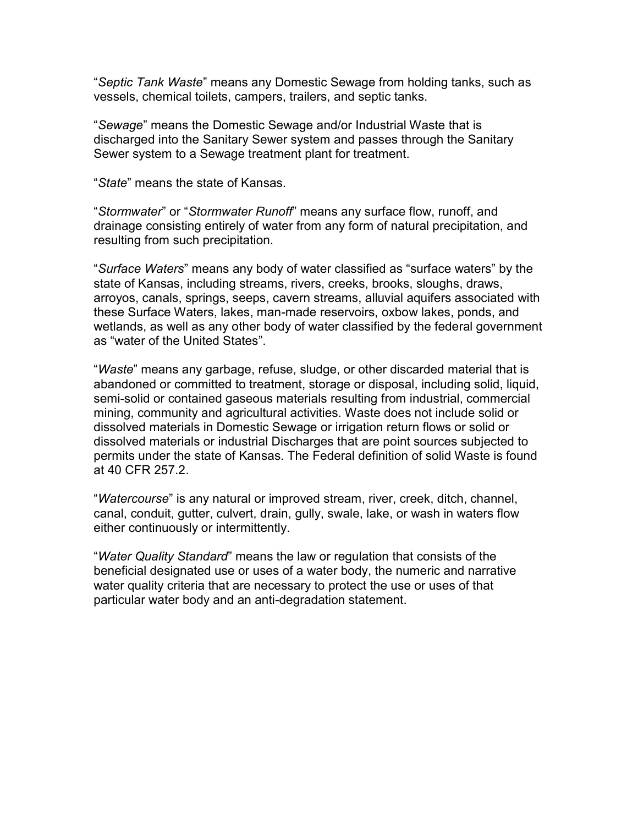"Septic Tank Waste" means any Domestic Sewage from holding tanks, such as vessels, chemical toilets, campers, trailers, and septic tanks.

"Sewage" means the Domestic Sewage and/or Industrial Waste that is discharged into the Sanitary Sewer system and passes through the Sanitary Sewer system to a Sewage treatment plant for treatment.

"State" means the state of Kansas.

"Stormwater" or "Stormwater Runoff" means any surface flow, runoff, and drainage consisting entirely of water from any form of natural precipitation, and resulting from such precipitation.

"Surface Waters" means any body of water classified as "surface waters" by the state of Kansas, including streams, rivers, creeks, brooks, sloughs, draws, arroyos, canals, springs, seeps, cavern streams, alluvial aquifers associated with these Surface Waters, lakes, man-made reservoirs, oxbow lakes, ponds, and wetlands, as well as any other body of water classified by the federal government as "water of the United States".

"Waste" means any garbage, refuse, sludge, or other discarded material that is abandoned or committed to treatment, storage or disposal, including solid, liquid, semi-solid or contained gaseous materials resulting from industrial, commercial mining, community and agricultural activities. Waste does not include solid or dissolved materials in Domestic Sewage or irrigation return flows or solid or dissolved materials or industrial Discharges that are point sources subjected to permits under the state of Kansas. The Federal definition of solid Waste is found at 40 CFR 257.2.

"Watercourse" is any natural or improved stream, river, creek, ditch, channel, canal, conduit, gutter, culvert, drain, gully, swale, lake, or wash in waters flow either continuously or intermittently.

"Water Quality Standard" means the law or regulation that consists of the beneficial designated use or uses of a water body, the numeric and narrative water quality criteria that are necessary to protect the use or uses of that particular water body and an anti-degradation statement.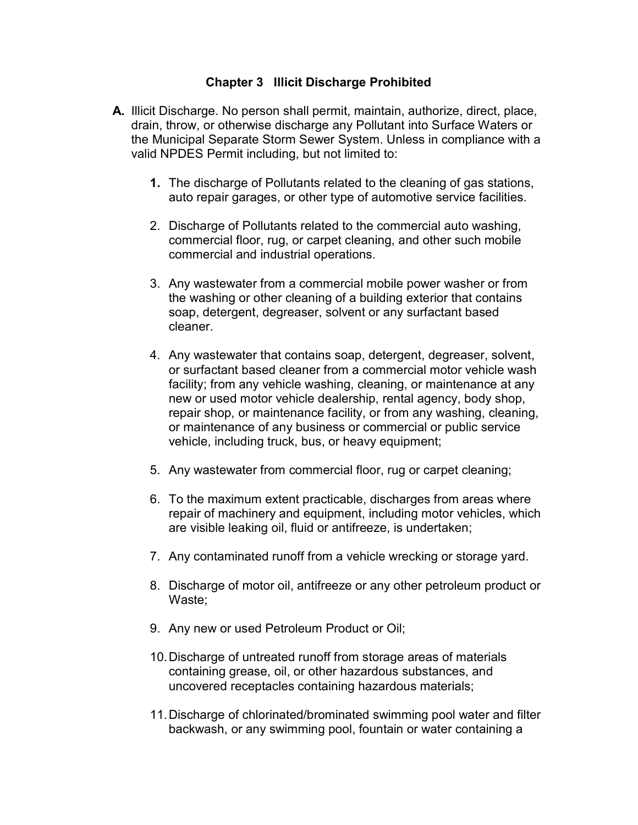#### Chapter 3 Illicit Discharge Prohibited

- A. Illicit Discharge. No person shall permit, maintain, authorize, direct, place, drain, throw, or otherwise discharge any Pollutant into Surface Waters or the Municipal Separate Storm Sewer System. Unless in compliance with a valid NPDES Permit including, but not limited to:
	- 1. The discharge of Pollutants related to the cleaning of gas stations, auto repair garages, or other type of automotive service facilities.
	- 2. Discharge of Pollutants related to the commercial auto washing, commercial floor, rug, or carpet cleaning, and other such mobile commercial and industrial operations.
	- 3. Any wastewater from a commercial mobile power washer or from the washing or other cleaning of a building exterior that contains soap, detergent, degreaser, solvent or any surfactant based cleaner.
	- 4. Any wastewater that contains soap, detergent, degreaser, solvent, or surfactant based cleaner from a commercial motor vehicle wash facility; from any vehicle washing, cleaning, or maintenance at any new or used motor vehicle dealership, rental agency, body shop, repair shop, or maintenance facility, or from any washing, cleaning, or maintenance of any business or commercial or public service vehicle, including truck, bus, or heavy equipment;
	- 5. Any wastewater from commercial floor, rug or carpet cleaning;
	- 6. To the maximum extent practicable, discharges from areas where repair of machinery and equipment, including motor vehicles, which are visible leaking oil, fluid or antifreeze, is undertaken;
	- 7. Any contaminated runoff from a vehicle wrecking or storage yard.
	- 8. Discharge of motor oil, antifreeze or any other petroleum product or Waste;
	- 9. Any new or used Petroleum Product or Oil;
	- 10. Discharge of untreated runoff from storage areas of materials containing grease, oil, or other hazardous substances, and uncovered receptacles containing hazardous materials;
	- 11. Discharge of chlorinated/brominated swimming pool water and filter backwash, or any swimming pool, fountain or water containing a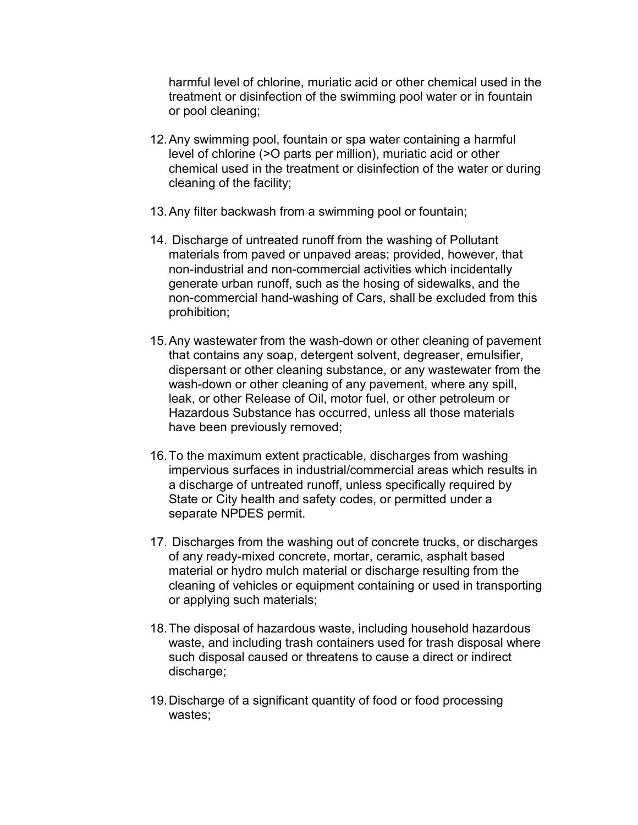harmful level of chlorine, muriatic acid or other chemical used in the treatment or disinfection of the swimming pool water or in fountain or pool cleaning;

- 12. Any swimming pool, fountain or spa water containing a harmful level of chlorine (>O parts per million), muriatic acid or other chemical used in the treatment or disinfection of the water or during cleaning of the facility;
- 13. Any filter backwash from a swimming pool or fountain;
- 14. Discharge of untreated runoff from the washing of Pollutant materials from paved or unpaved areas; provided, however, that non-industrial and non-commercial activities which incidentally generate urban runoff, such as the hosing of sidewalks, and the non-commercial hand-washing of Cars, shall be excluded from this prohibition;
- 15. Any wastewater from the wash-down or other cleaning of pavement that contains any soap, detergent solvent, degreaser, emulsifier, dispersant or other cleaning substance, or any wastewater from the wash-down or other cleaning of any pavement, where any spill, leak, or other Release of Oil, motor fuel, or other petroleum or Hazardous Substance has occurred, unless all those materials have been previously removed;
- 16. To the maximum extent practicable, discharges from washing impervious surfaces in industrial/commercial areas which results in a discharge of untreated runoff, unless specifically required by State or City health and safety codes, or permitted under a separate NPDES permit.
- 17. Discharges from the washing out of concrete trucks, or discharges of any ready-mixed concrete, mortar, ceramic, asphalt based material or hydro mulch material or discharge resulting from the cleaning of vehicles or equipment containing or used in transporting or applying such materials;
- 18. The disposal of hazardous waste, including household hazardous waste, and including trash containers used for trash disposal where such disposal caused or threatens to cause a direct or indirect discharge;
- 19. Discharge of a significant quantity of food or food processing wastes;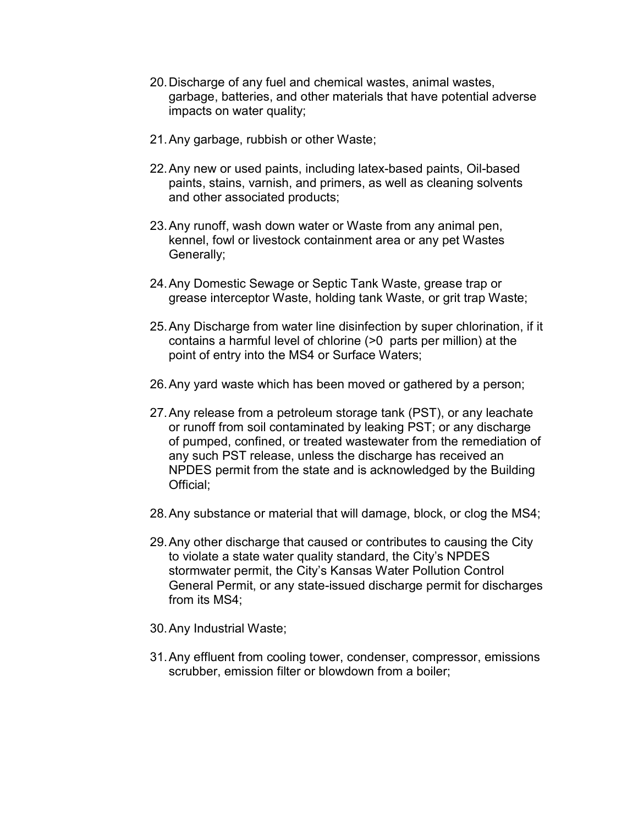- 20. Discharge of any fuel and chemical wastes, animal wastes, garbage, batteries, and other materials that have potential adverse impacts on water quality;
- 21. Any garbage, rubbish or other Waste;
- 22. Any new or used paints, including latex-based paints, Oil-based paints, stains, varnish, and primers, as well as cleaning solvents and other associated products;
- 23. Any runoff, wash down water or Waste from any animal pen, kennel, fowl or livestock containment area or any pet Wastes Generally;
- 24. Any Domestic Sewage or Septic Tank Waste, grease trap or grease interceptor Waste, holding tank Waste, or grit trap Waste;
- 25. Any Discharge from water line disinfection by super chlorination, if it contains a harmful level of chlorine (>0 parts per million) at the point of entry into the MS4 or Surface Waters;
- 26. Any yard waste which has been moved or gathered by a person;
- 27. Any release from a petroleum storage tank (PST), or any leachate or runoff from soil contaminated by leaking PST; or any discharge of pumped, confined, or treated wastewater from the remediation of any such PST release, unless the discharge has received an NPDES permit from the state and is acknowledged by the Building Official;
- 28. Any substance or material that will damage, block, or clog the MS4;
- 29. Any other discharge that caused or contributes to causing the City to violate a state water quality standard, the City's NPDES stormwater permit, the City's Kansas Water Pollution Control General Permit, or any state-issued discharge permit for discharges from its MS4;
- 30. Any Industrial Waste;
- 31. Any effluent from cooling tower, condenser, compressor, emissions scrubber, emission filter or blowdown from a boiler;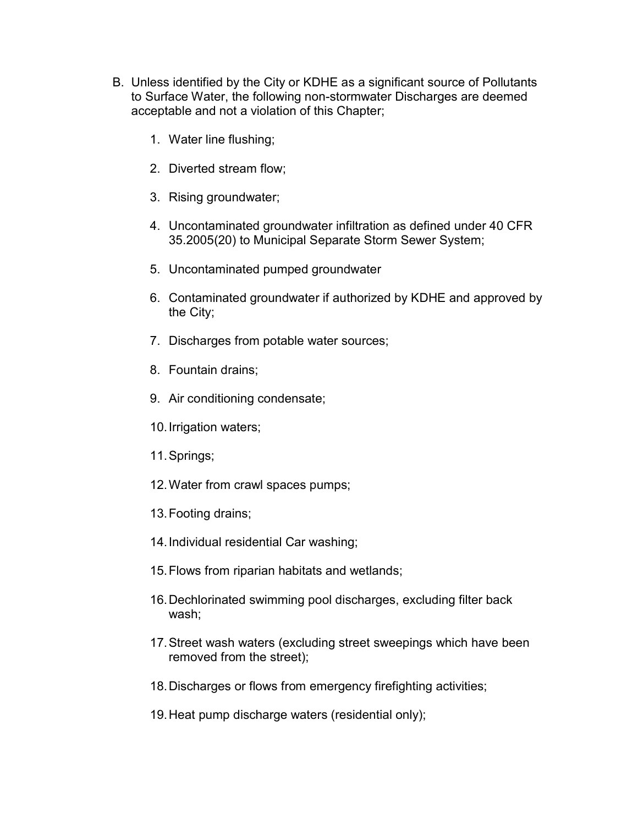- B. Unless identified by the City or KDHE as a significant source of Pollutants to Surface Water, the following non-stormwater Discharges are deemed acceptable and not a violation of this Chapter;
	- 1. Water line flushing;
	- 2. Diverted stream flow;
	- 3. Rising groundwater;
	- 4. Uncontaminated groundwater infiltration as defined under 40 CFR 35.2005(20) to Municipal Separate Storm Sewer System;
	- 5. Uncontaminated pumped groundwater
	- 6. Contaminated groundwater if authorized by KDHE and approved by the City;
	- 7. Discharges from potable water sources;
	- 8. Fountain drains;
	- 9. Air conditioning condensate;
	- 10. Irrigation waters;
	- 11. Springs;
	- 12. Water from crawl spaces pumps;
	- 13. Footing drains;
	- 14. Individual residential Car washing;
	- 15. Flows from riparian habitats and wetlands;
	- 16. Dechlorinated swimming pool discharges, excluding filter back wash;
	- 17. Street wash waters (excluding street sweepings which have been removed from the street);
	- 18. Discharges or flows from emergency firefighting activities;
	- 19. Heat pump discharge waters (residential only);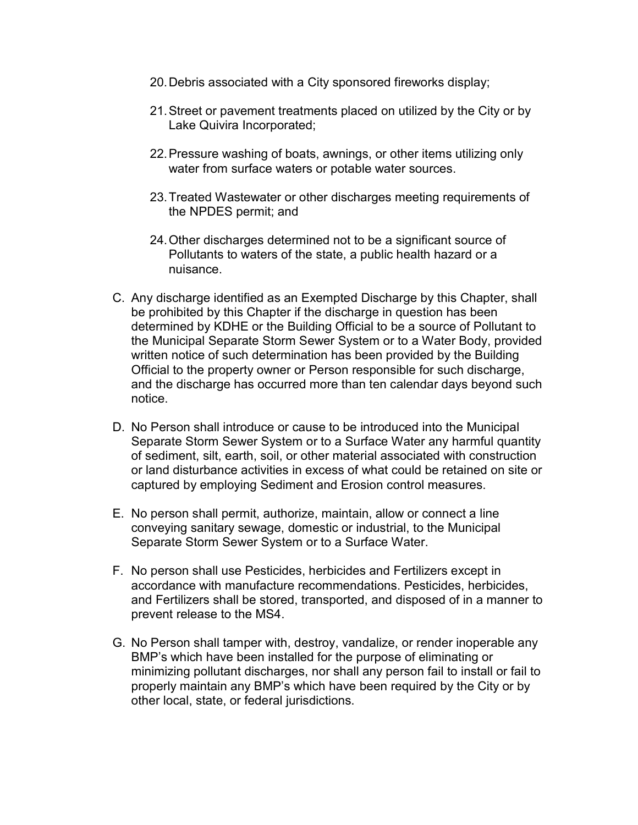- 20. Debris associated with a City sponsored fireworks display;
- 21. Street or pavement treatments placed on utilized by the City or by Lake Quivira Incorporated;
- 22. Pressure washing of boats, awnings, or other items utilizing only water from surface waters or potable water sources.
- 23. Treated Wastewater or other discharges meeting requirements of the NPDES permit; and
- 24. Other discharges determined not to be a significant source of Pollutants to waters of the state, a public health hazard or a nuisance.
- C. Any discharge identified as an Exempted Discharge by this Chapter, shall be prohibited by this Chapter if the discharge in question has been determined by KDHE or the Building Official to be a source of Pollutant to the Municipal Separate Storm Sewer System or to a Water Body, provided written notice of such determination has been provided by the Building Official to the property owner or Person responsible for such discharge, and the discharge has occurred more than ten calendar days beyond such notice.
- D. No Person shall introduce or cause to be introduced into the Municipal Separate Storm Sewer System or to a Surface Water any harmful quantity of sediment, silt, earth, soil, or other material associated with construction or land disturbance activities in excess of what could be retained on site or captured by employing Sediment and Erosion control measures.
- E. No person shall permit, authorize, maintain, allow or connect a line conveying sanitary sewage, domestic or industrial, to the Municipal Separate Storm Sewer System or to a Surface Water.
- F. No person shall use Pesticides, herbicides and Fertilizers except in accordance with manufacture recommendations. Pesticides, herbicides, and Fertilizers shall be stored, transported, and disposed of in a manner to prevent release to the MS4.
- G. No Person shall tamper with, destroy, vandalize, or render inoperable any BMP's which have been installed for the purpose of eliminating or minimizing pollutant discharges, nor shall any person fail to install or fail to properly maintain any BMP's which have been required by the City or by other local, state, or federal jurisdictions.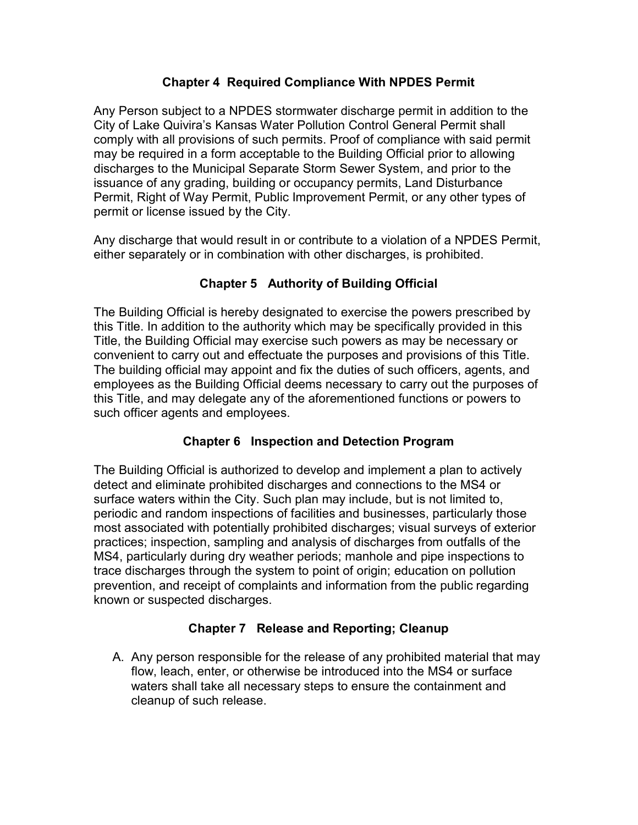### Chapter 4 Required Compliance With NPDES Permit

Any Person subject to a NPDES stormwater discharge permit in addition to the City of Lake Quivira's Kansas Water Pollution Control General Permit shall comply with all provisions of such permits. Proof of compliance with said permit may be required in a form acceptable to the Building Official prior to allowing discharges to the Municipal Separate Storm Sewer System, and prior to the issuance of any grading, building or occupancy permits, Land Disturbance Permit, Right of Way Permit, Public Improvement Permit, or any other types of permit or license issued by the City.

Any discharge that would result in or contribute to a violation of a NPDES Permit, either separately or in combination with other discharges, is prohibited.

# Chapter 5 Authority of Building Official

The Building Official is hereby designated to exercise the powers prescribed by this Title. In addition to the authority which may be specifically provided in this Title, the Building Official may exercise such powers as may be necessary or convenient to carry out and effectuate the purposes and provisions of this Title. The building official may appoint and fix the duties of such officers, agents, and employees as the Building Official deems necessary to carry out the purposes of this Title, and may delegate any of the aforementioned functions or powers to such officer agents and employees.

## Chapter 6 Inspection and Detection Program

The Building Official is authorized to develop and implement a plan to actively detect and eliminate prohibited discharges and connections to the MS4 or surface waters within the City. Such plan may include, but is not limited to, periodic and random inspections of facilities and businesses, particularly those most associated with potentially prohibited discharges; visual surveys of exterior practices; inspection, sampling and analysis of discharges from outfalls of the MS4, particularly during dry weather periods; manhole and pipe inspections to trace discharges through the system to point of origin; education on pollution prevention, and receipt of complaints and information from the public regarding known or suspected discharges.

## Chapter 7 Release and Reporting; Cleanup

A. Any person responsible for the release of any prohibited material that may flow, leach, enter, or otherwise be introduced into the MS4 or surface waters shall take all necessary steps to ensure the containment and cleanup of such release.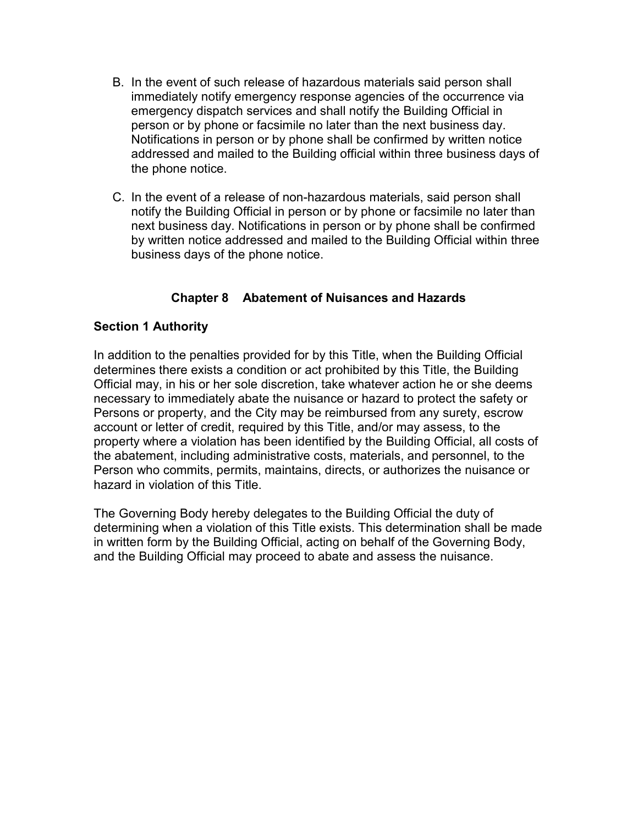- B. In the event of such release of hazardous materials said person shall immediately notify emergency response agencies of the occurrence via emergency dispatch services and shall notify the Building Official in person or by phone or facsimile no later than the next business day. Notifications in person or by phone shall be confirmed by written notice addressed and mailed to the Building official within three business days of the phone notice.
- C. In the event of a release of non-hazardous materials, said person shall notify the Building Official in person or by phone or facsimile no later than next business day. Notifications in person or by phone shall be confirmed by written notice addressed and mailed to the Building Official within three business days of the phone notice.

## Chapter 8 Abatement of Nuisances and Hazards

#### Section 1 Authority

In addition to the penalties provided for by this Title, when the Building Official determines there exists a condition or act prohibited by this Title, the Building Official may, in his or her sole discretion, take whatever action he or she deems necessary to immediately abate the nuisance or hazard to protect the safety or Persons or property, and the City may be reimbursed from any surety, escrow account or letter of credit, required by this Title, and/or may assess, to the property where a violation has been identified by the Building Official, all costs of the abatement, including administrative costs, materials, and personnel, to the Person who commits, permits, maintains, directs, or authorizes the nuisance or hazard in violation of this Title.

The Governing Body hereby delegates to the Building Official the duty of determining when a violation of this Title exists. This determination shall be made in written form by the Building Official, acting on behalf of the Governing Body, and the Building Official may proceed to abate and assess the nuisance.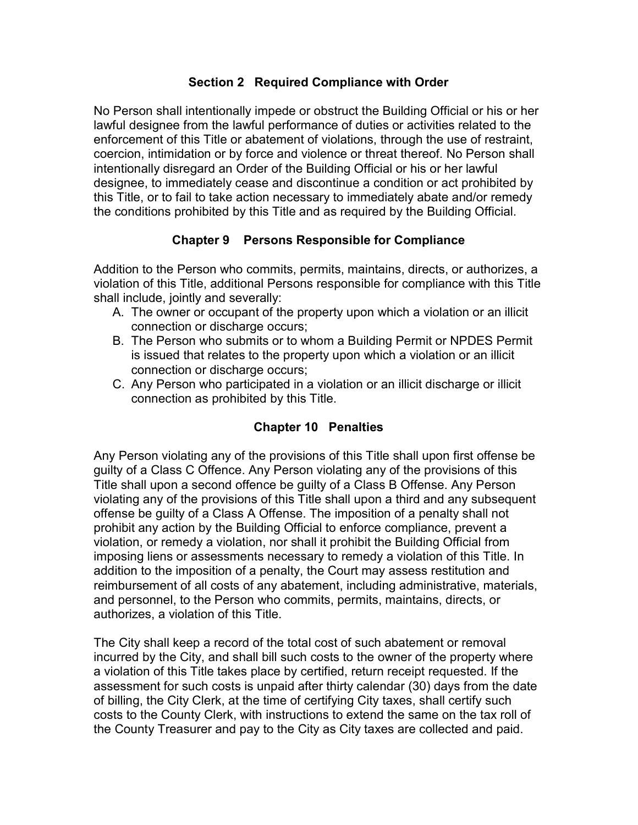#### Section 2 Required Compliance with Order

No Person shall intentionally impede or obstruct the Building Official or his or her lawful designee from the lawful performance of duties or activities related to the enforcement of this Title or abatement of violations, through the use of restraint, coercion, intimidation or by force and violence or threat thereof. No Person shall intentionally disregard an Order of the Building Official or his or her lawful designee, to immediately cease and discontinue a condition or act prohibited by this Title, or to fail to take action necessary to immediately abate and/or remedy the conditions prohibited by this Title and as required by the Building Official.

# Chapter 9 Persons Responsible for Compliance

Addition to the Person who commits, permits, maintains, directs, or authorizes, a violation of this Title, additional Persons responsible for compliance with this Title shall include, jointly and severally:

- A. The owner or occupant of the property upon which a violation or an illicit connection or discharge occurs;
- B. The Person who submits or to whom a Building Permit or NPDES Permit is issued that relates to the property upon which a violation or an illicit connection or discharge occurs;
- C. Any Person who participated in a violation or an illicit discharge or illicit connection as prohibited by this Title.

## Chapter 10 Penalties

Any Person violating any of the provisions of this Title shall upon first offense be guilty of a Class C Offence. Any Person violating any of the provisions of this Title shall upon a second offence be guilty of a Class B Offense. Any Person violating any of the provisions of this Title shall upon a third and any subsequent offense be guilty of a Class A Offense. The imposition of a penalty shall not prohibit any action by the Building Official to enforce compliance, prevent a violation, or remedy a violation, nor shall it prohibit the Building Official from imposing liens or assessments necessary to remedy a violation of this Title. In addition to the imposition of a penalty, the Court may assess restitution and reimbursement of all costs of any abatement, including administrative, materials, and personnel, to the Person who commits, permits, maintains, directs, or authorizes, a violation of this Title.

The City shall keep a record of the total cost of such abatement or removal incurred by the City, and shall bill such costs to the owner of the property where a violation of this Title takes place by certified, return receipt requested. If the assessment for such costs is unpaid after thirty calendar (30) days from the date of billing, the City Clerk, at the time of certifying City taxes, shall certify such costs to the County Clerk, with instructions to extend the same on the tax roll of the County Treasurer and pay to the City as City taxes are collected and paid.